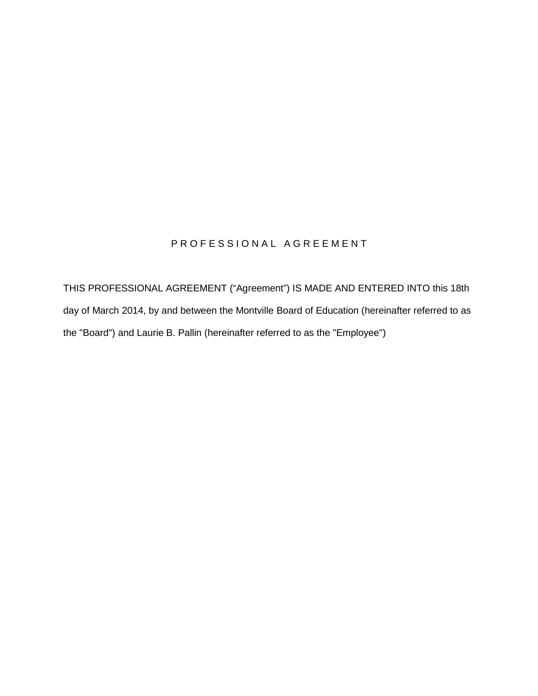# PROFESSIONAL AGREEMENT

THIS PROFESSIONAL AGREEMENT ("Agreement") IS MADE AND ENTERED INTO this 18th day of March 2014, by and between the Montville Board of Education (hereinafter referred to as the "Board") and Laurie B. Pallin (hereinafter referred to as the "Employee")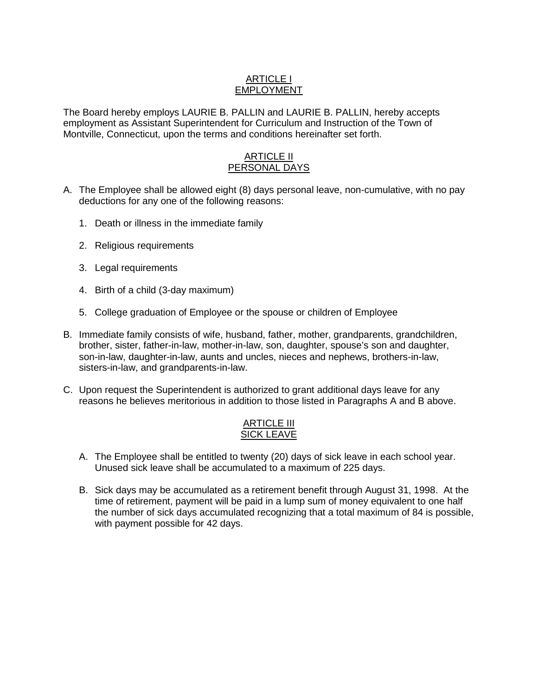### ARTICLE I **EMPLOYMENT**

The Board hereby employs LAURIE B. PALLIN and LAURIE B. PALLIN, hereby accepts employment as Assistant Superintendent for Curriculum and Instruction of the Town of Montville, Connecticut, upon the terms and conditions hereinafter set forth.

### ARTICLE II PERSONAL DAYS

- A. The Employee shall be allowed eight (8) days personal leave, non-cumulative, with no pay deductions for any one of the following reasons:
	- 1. Death or illness in the immediate family
	- 2. Religious requirements
	- 3. Legal requirements
	- 4. Birth of a child (3-day maximum)
	- 5. College graduation of Employee or the spouse or children of Employee
- B. Immediate family consists of wife, husband, father, mother, grandparents, grandchildren, brother, sister, father-in-law, mother-in-law, son, daughter, spouse's son and daughter, son-in-law, daughter-in-law, aunts and uncles, nieces and nephews, brothers-in-law, sisters-in-law, and grandparents-in-law.
- C. Upon request the Superintendent is authorized to grant additional days leave for any reasons he believes meritorious in addition to those listed in Paragraphs A and B above.

### ARTICLE III SICK LEAVE

- A. The Employee shall be entitled to twenty (20) days of sick leave in each school year. Unused sick leave shall be accumulated to a maximum of 225 days.
- B. Sick days may be accumulated as a retirement benefit through August 31, 1998. At the time of retirement, payment will be paid in a lump sum of money equivalent to one half the number of sick days accumulated recognizing that a total maximum of 84 is possible, with payment possible for 42 days.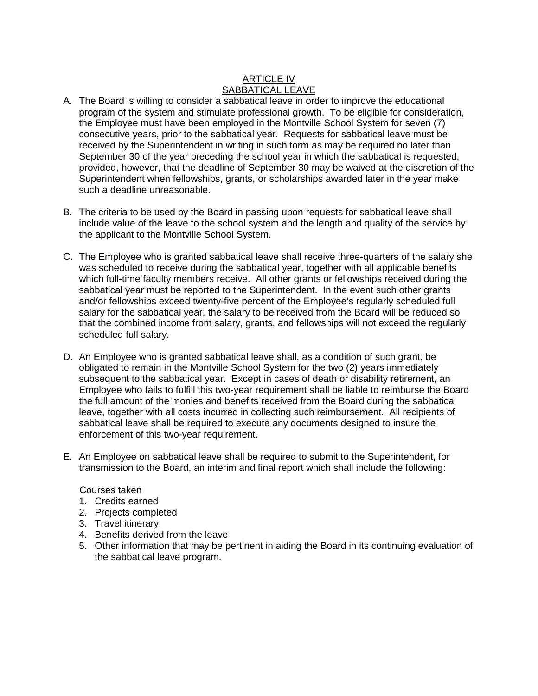# ARTICLE IV SABBATICAL LEAVE

- A. The Board is willing to consider a sabbatical leave in order to improve the educational program of the system and stimulate professional growth. To be eligible for consideration, the Employee must have been employed in the Montville School System for seven (7) consecutive years, prior to the sabbatical year. Requests for sabbatical leave must be received by the Superintendent in writing in such form as may be required no later than September 30 of the year preceding the school year in which the sabbatical is requested, provided, however, that the deadline of September 30 may be waived at the discretion of the Superintendent when fellowships, grants, or scholarships awarded later in the year make such a deadline unreasonable.
- B. The criteria to be used by the Board in passing upon requests for sabbatical leave shall include value of the leave to the school system and the length and quality of the service by the applicant to the Montville School System.
- C. The Employee who is granted sabbatical leave shall receive three-quarters of the salary she was scheduled to receive during the sabbatical year, together with all applicable benefits which full-time faculty members receive. All other grants or fellowships received during the sabbatical year must be reported to the Superintendent. In the event such other grants and/or fellowships exceed twenty-five percent of the Employee's regularly scheduled full salary for the sabbatical year, the salary to be received from the Board will be reduced so that the combined income from salary, grants, and fellowships will not exceed the regularly scheduled full salary.
- D. An Employee who is granted sabbatical leave shall, as a condition of such grant, be obligated to remain in the Montville School System for the two (2) years immediately subsequent to the sabbatical year. Except in cases of death or disability retirement, an Employee who fails to fulfill this two-year requirement shall be liable to reimburse the Board the full amount of the monies and benefits received from the Board during the sabbatical leave, together with all costs incurred in collecting such reimbursement. All recipients of sabbatical leave shall be required to execute any documents designed to insure the enforcement of this two-year requirement.
- E. An Employee on sabbatical leave shall be required to submit to the Superintendent, for transmission to the Board, an interim and final report which shall include the following:

#### Courses taken

- 1. Credits earned
- 2. Projects completed
- 3. Travel itinerary
- 4. Benefits derived from the leave
- 5. Other information that may be pertinent in aiding the Board in its continuing evaluation of the sabbatical leave program.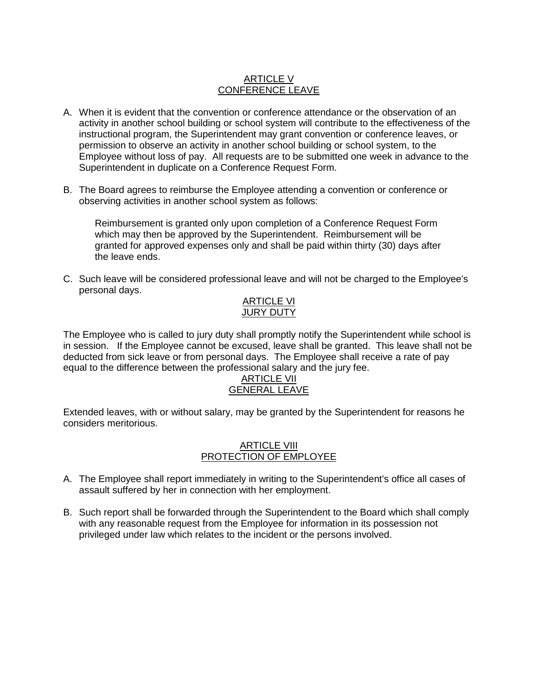### ARTICLE V CONFERENCE LEAVE

- A. When it is evident that the convention or conference attendance or the observation of an activity in another school building or school system will contribute to the effectiveness of the instructional program, the Superintendent may grant convention or conference leaves, or permission to observe an activity in another school building or school system, to the Employee without loss of pay. All requests are to be submitted one week in advance to the Superintendent in duplicate on a Conference Request Form.
- B. The Board agrees to reimburse the Employee attending a convention or conference or observing activities in another school system as follows:

Reimbursement is granted only upon completion of a Conference Request Form which may then be approved by the Superintendent. Reimbursement will be granted for approved expenses only and shall be paid within thirty (30) days after the leave ends.

C. Such leave will be considered professional leave and will not be charged to the Employee's personal days.

### **ARTICLE VI** JURY DUTY

The Employee who is called to jury duty shall promptly notify the Superintendent while school is in session. If the Employee cannot be excused, leave shall be granted. This leave shall not be deducted from sick leave or from personal days. The Employee shall receive a rate of pay equal to the difference between the professional salary and the jury fee.

# ARTICLE VII GENERAL LEAVE

Extended leaves, with or without salary, may be granted by the Superintendent for reasons he considers meritorious.

### ARTICLE VIII PROTECTION OF EMPLOYEE

- A. The Employee shall report immediately in writing to the Superintendent's office all cases of assault suffered by her in connection with her employment.
- B. Such report shall be forwarded through the Superintendent to the Board which shall comply with any reasonable request from the Employee for information in its possession not privileged under law which relates to the incident or the persons involved.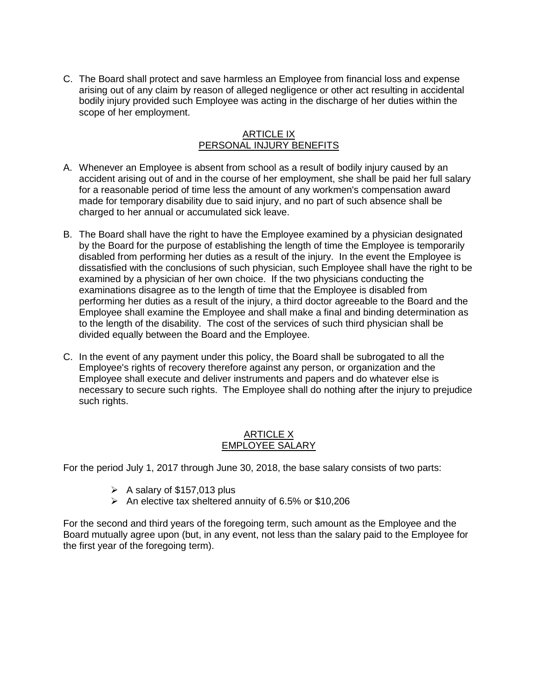C. The Board shall protect and save harmless an Employee from financial loss and expense arising out of any claim by reason of alleged negligence or other act resulting in accidental bodily injury provided such Employee was acting in the discharge of her duties within the scope of her employment.

### ARTICLE IX PERSONAL INJURY BENEFITS

- A. Whenever an Employee is absent from school as a result of bodily injury caused by an accident arising out of and in the course of her employment, she shall be paid her full salary for a reasonable period of time less the amount of any workmen's compensation award made for temporary disability due to said injury, and no part of such absence shall be charged to her annual or accumulated sick leave.
- B. The Board shall have the right to have the Employee examined by a physician designated by the Board for the purpose of establishing the length of time the Employee is temporarily disabled from performing her duties as a result of the injury. In the event the Employee is dissatisfied with the conclusions of such physician, such Employee shall have the right to be examined by a physician of her own choice. If the two physicians conducting the examinations disagree as to the length of time that the Employee is disabled from performing her duties as a result of the injury, a third doctor agreeable to the Board and the Employee shall examine the Employee and shall make a final and binding determination as to the length of the disability. The cost of the services of such third physician shall be divided equally between the Board and the Employee.
- C. In the event of any payment under this policy, the Board shall be subrogated to all the Employee's rights of recovery therefore against any person, or organization and the Employee shall execute and deliver instruments and papers and do whatever else is necessary to secure such rights. The Employee shall do nothing after the injury to prejudice such rights.

# ARTICLE X EMPLOYEE SALARY

For the period July 1, 2017 through June 30, 2018, the base salary consists of two parts:

- $\triangleright$  A salary of \$157,013 plus
- $\triangleright$  An elective tax sheltered annuity of 6.5% or \$10,206

For the second and third years of the foregoing term, such amount as the Employee and the Board mutually agree upon (but, in any event, not less than the salary paid to the Employee for the first year of the foregoing term).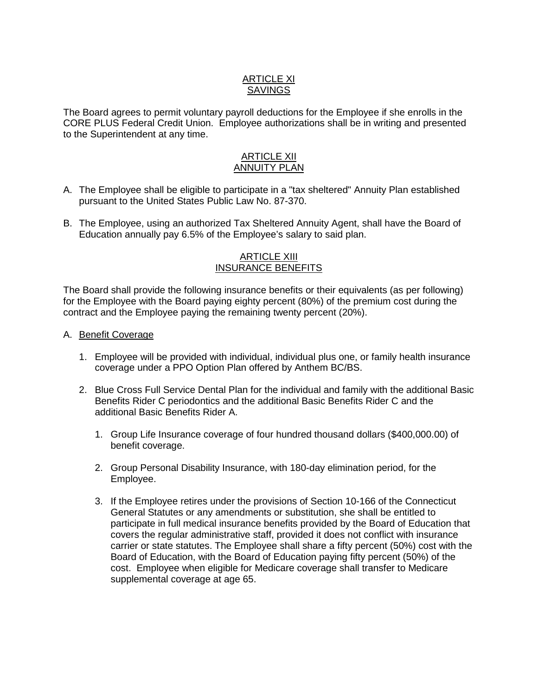# ARTICLE XI **SAVINGS**

The Board agrees to permit voluntary payroll deductions for the Employee if she enrolls in the CORE PLUS Federal Credit Union. Employee authorizations shall be in writing and presented to the Superintendent at any time.

### ARTICLE XII ANNUITY PLAN

- A. The Employee shall be eligible to participate in a "tax sheltered" Annuity Plan established pursuant to the United States Public Law No. 87-370.
- B. The Employee, using an authorized Tax Sheltered Annuity Agent, shall have the Board of Education annually pay 6.5% of the Employee's salary to said plan.

### ARTICLE XIII INSURANCE BENEFITS

The Board shall provide the following insurance benefits or their equivalents (as per following) for the Employee with the Board paying eighty percent (80%) of the premium cost during the contract and the Employee paying the remaining twenty percent (20%).

### A. Benefit Coverage

- 1. Employee will be provided with individual, individual plus one, or family health insurance coverage under a PPO Option Plan offered by Anthem BC/BS.
- 2. Blue Cross Full Service Dental Plan for the individual and family with the additional Basic Benefits Rider C periodontics and the additional Basic Benefits Rider C and the additional Basic Benefits Rider A.
	- 1. Group Life Insurance coverage of four hundred thousand dollars (\$400,000.00) of benefit coverage.
	- 2. Group Personal Disability Insurance, with 180-day elimination period, for the Employee.
	- 3. If the Employee retires under the provisions of Section 10-166 of the Connecticut General Statutes or any amendments or substitution, she shall be entitled to participate in full medical insurance benefits provided by the Board of Education that covers the regular administrative staff, provided it does not conflict with insurance carrier or state statutes. The Employee shall share a fifty percent (50%) cost with the Board of Education, with the Board of Education paying fifty percent (50%) of the cost. Employee when eligible for Medicare coverage shall transfer to Medicare supplemental coverage at age 65.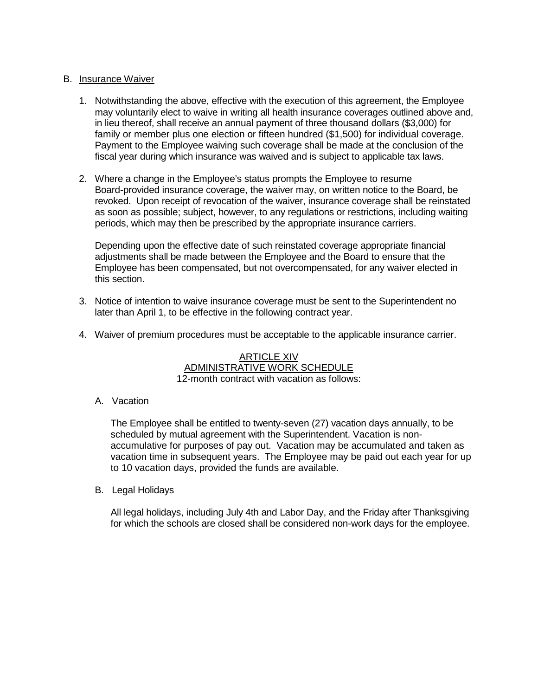### B. Insurance Waiver

- 1. Notwithstanding the above, effective with the execution of this agreement, the Employee may voluntarily elect to waive in writing all health insurance coverages outlined above and, in lieu thereof, shall receive an annual payment of three thousand dollars (\$3,000) for family or member plus one election or fifteen hundred (\$1,500) for individual coverage. Payment to the Employee waiving such coverage shall be made at the conclusion of the fiscal year during which insurance was waived and is subject to applicable tax laws.
- 2. Where a change in the Employee's status prompts the Employee to resume Board-provided insurance coverage, the waiver may, on written notice to the Board, be revoked. Upon receipt of revocation of the waiver, insurance coverage shall be reinstated as soon as possible; subject, however, to any regulations or restrictions, including waiting periods, which may then be prescribed by the appropriate insurance carriers.

Depending upon the effective date of such reinstated coverage appropriate financial adjustments shall be made between the Employee and the Board to ensure that the Employee has been compensated, but not overcompensated, for any waiver elected in this section.

- 3. Notice of intention to waive insurance coverage must be sent to the Superintendent no later than April 1, to be effective in the following contract year.
- 4. Waiver of premium procedures must be acceptable to the applicable insurance carrier.

ARTICLE XIV ADMINISTRATIVE WORK SCHEDULE 12-month contract with vacation as follows:

A. Vacation

The Employee shall be entitled to twenty-seven (27) vacation days annually, to be scheduled by mutual agreement with the Superintendent. Vacation is nonaccumulative for purposes of pay out. Vacation may be accumulated and taken as vacation time in subsequent years. The Employee may be paid out each year for up to 10 vacation days, provided the funds are available.

B. Legal Holidays

All legal holidays, including July 4th and Labor Day, and the Friday after Thanksgiving for which the schools are closed shall be considered non-work days for the employee.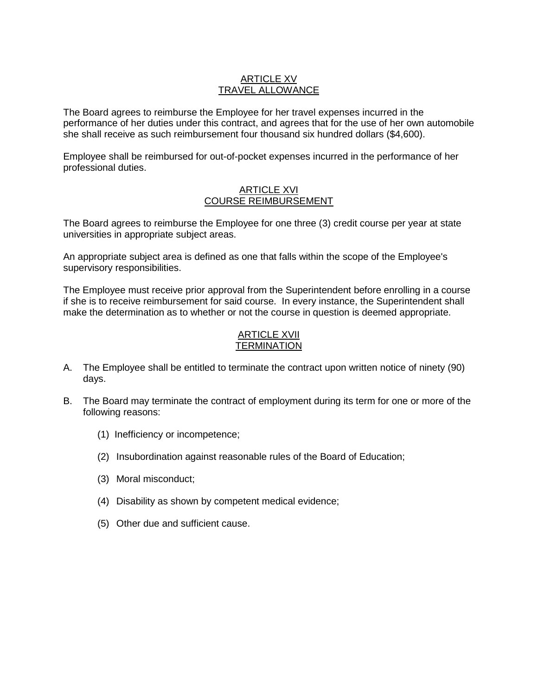### ARTICLE XV TRAVEL ALLOWANCE

The Board agrees to reimburse the Employee for her travel expenses incurred in the performance of her duties under this contract, and agrees that for the use of her own automobile she shall receive as such reimbursement four thousand six hundred dollars (\$4,600).

Employee shall be reimbursed for out-of-pocket expenses incurred in the performance of her professional duties.

#### ARTICLE XVI COURSE REIMBURSEMENT

The Board agrees to reimburse the Employee for one three (3) credit course per year at state universities in appropriate subject areas.

An appropriate subject area is defined as one that falls within the scope of the Employee's supervisory responsibilities.

The Employee must receive prior approval from the Superintendent before enrolling in a course if she is to receive reimbursement for said course. In every instance, the Superintendent shall make the determination as to whether or not the course in question is deemed appropriate.

### ARTICLE XVII **TERMINATION**

- A. The Employee shall be entitled to terminate the contract upon written notice of ninety (90) days.
- B. The Board may terminate the contract of employment during its term for one or more of the following reasons:
	- (1) Inefficiency or incompetence;
	- (2) Insubordination against reasonable rules of the Board of Education;
	- (3) Moral misconduct;
	- (4) Disability as shown by competent medical evidence;
	- (5) Other due and sufficient cause.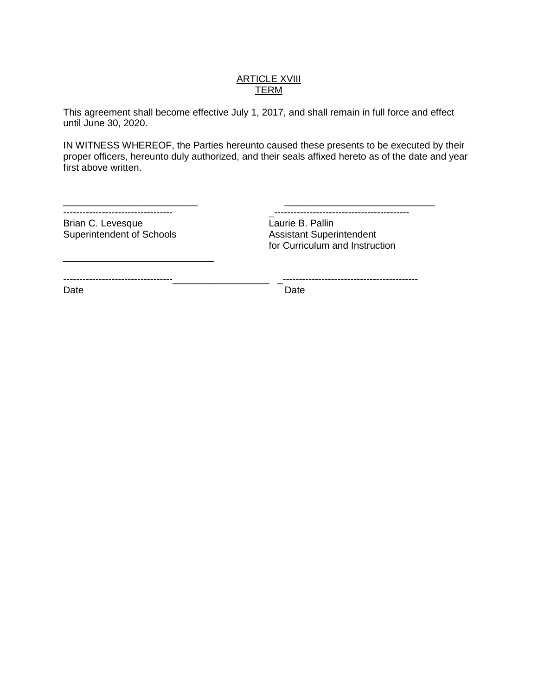### **ARTICLE XVIII TERM**

This agreement shall become effective July 1, 2017, and shall remain in full force and effect until June 30, 2020.

IN WITNESS WHEREOF, the Parties hereunto caused these presents to be executed by their proper officers, hereunto duly authorized, and their seals affixed hereto as of the date and year first above written.

| ------------------------------------ |  |
|--------------------------------------|--|

Brian C. Levesque<br>
Superintendent of Schools<br>
Assistant Superintendent Superintendent of Schools

\_\_\_\_\_\_\_\_\_\_\_\_\_\_\_\_\_\_\_\_\_\_\_\_\_\_\_\_

---------------------------------- \_------------------------------------------

for Curriculum and Instruction

----------------------------------\_\_\_\_\_\_\_\_\_\_\_\_\_\_\_\_\_\_ \_------------------------------------------

Date **Date Date Date Date**